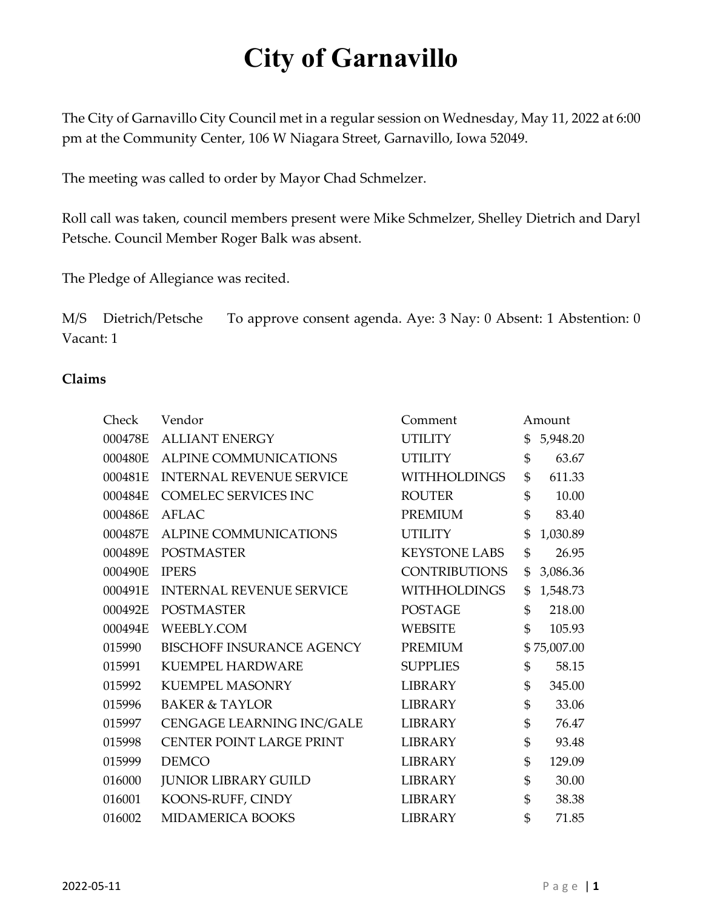The City of Garnavillo City Council met in a regular session on Wednesday, May 11, 2022 at 6:00 pm at the Community Center, 106 W Niagara Street, Garnavillo, Iowa 52049.

The meeting was called to order by Mayor Chad Schmelzer.

Roll call was taken, council members present were Mike Schmelzer, Shelley Dietrich and Daryl Petsche. Council Member Roger Balk was absent.

The Pledge of Allegiance was recited.

M/S Dietrich/Petsche To approve consent agenda. Aye: 3 Nay: 0 Absent: 1 Abstention: 0 Vacant: 1

#### **Claims**

| Check   | Vendor                          | Comment              | Amount         |
|---------|---------------------------------|----------------------|----------------|
| 000478E | <b>ALLIANT ENERGY</b>           | <b>UTILITY</b>       | \$<br>5,948.20 |
| 000480E | <b>ALPINE COMMUNICATIONS</b>    | <b>UTILITY</b>       | \$<br>63.67    |
| 000481E | <b>INTERNAL REVENUE SERVICE</b> | <b>WITHHOLDINGS</b>  | \$<br>611.33   |
| 000484E | COMELEC SERVICES INC            | <b>ROUTER</b>        | \$<br>10.00    |
| 000486E | <b>AFLAC</b>                    | <b>PREMIUM</b>       | \$<br>83.40    |
| 000487E | <b>ALPINE COMMUNICATIONS</b>    | <b>UTILITY</b>       | \$<br>1,030.89 |
| 000489E | <b>POSTMASTER</b>               | <b>KEYSTONE LABS</b> | \$<br>26.95    |
| 000490E | <b>IPERS</b>                    | <b>CONTRIBUTIONS</b> | \$<br>3,086.36 |
| 000491E | <b>INTERNAL REVENUE SERVICE</b> | <b>WITHHOLDINGS</b>  | \$<br>1,548.73 |
| 000492E | <b>POSTMASTER</b>               | <b>POSTAGE</b>       | \$<br>218.00   |
| 000494E | WEEBLY.COM                      | <b>WEBSITE</b>       | \$<br>105.93   |
| 015990  | BISCHOFF INSURANCE AGENCY       | <b>PREMIUM</b>       | \$75,007.00    |
| 015991  | <b>KUEMPEL HARDWARE</b>         | <b>SUPPLIES</b>      | \$<br>58.15    |
| 015992  | <b>KUEMPEL MASONRY</b>          | <b>LIBRARY</b>       | \$<br>345.00   |
| 015996  | <b>BAKER &amp; TAYLOR</b>       | <b>LIBRARY</b>       | \$<br>33.06    |
| 015997  | CENGAGE LEARNING INC/GALE       | <b>LIBRARY</b>       | \$<br>76.47    |
| 015998  | CENTER POINT LARGE PRINT        | <b>LIBRARY</b>       | \$<br>93.48    |
| 015999  | <b>DEMCO</b>                    | <b>LIBRARY</b>       | \$<br>129.09   |
| 016000  | <b>JUNIOR LIBRARY GUILD</b>     | <b>LIBRARY</b>       | \$<br>30.00    |
| 016001  | KOONS-RUFF, CINDY               | <b>LIBRARY</b>       | \$<br>38.38    |
| 016002  | MIDAMERICA BOOKS                | LIBRARY              | \$<br>71.85    |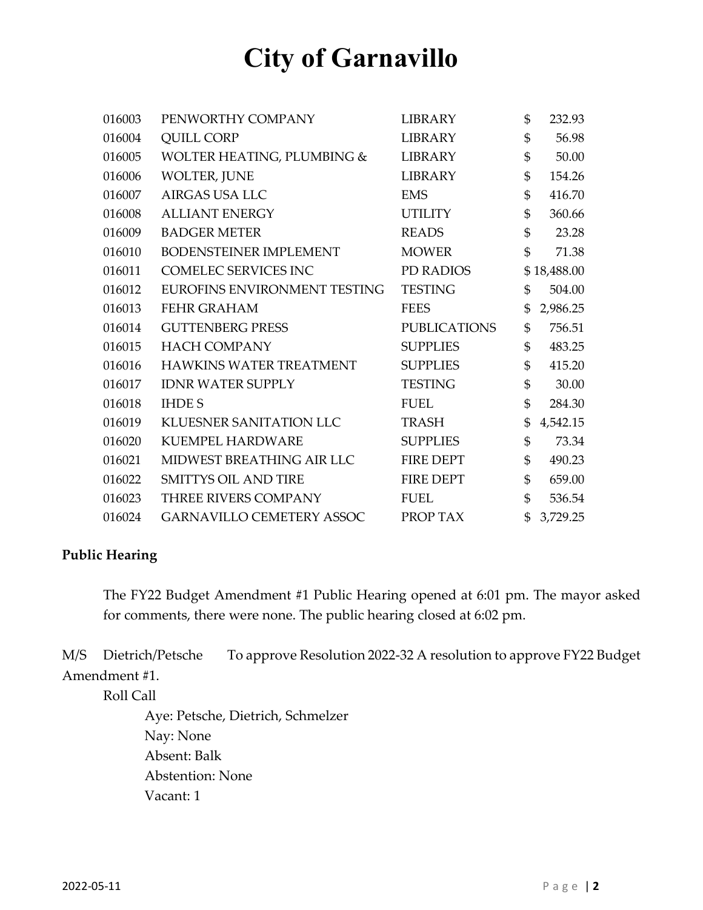| 016003 | PENWORTHY COMPANY                | <b>LIBRARY</b>      | \$             | 232.93      |
|--------|----------------------------------|---------------------|----------------|-------------|
| 016004 | <b>QUILL CORP</b>                | <b>LIBRARY</b>      | \$             | 56.98       |
| 016005 | WOLTER HEATING, PLUMBING &       | <b>LIBRARY</b>      | \$             | 50.00       |
| 016006 | <b>WOLTER, JUNE</b>              | <b>LIBRARY</b>      | \$             | 154.26      |
| 016007 | AIRGAS USA LLC                   | <b>EMS</b>          | \$             | 416.70      |
| 016008 | <b>ALLIANT ENERGY</b>            | <b>UTILITY</b>      | \$             | 360.66      |
| 016009 | <b>BADGER METER</b>              | <b>READS</b>        | \$             | 23.28       |
| 016010 | BODENSTEINER IMPLEMENT           | <b>MOWER</b>        | \$             | 71.38       |
| 016011 | COMELEC SERVICES INC             | PD RADIOS           |                | \$18,488.00 |
| 016012 | EUROFINS ENVIRONMENT TESTING     | <b>TESTING</b>      | \$             | 504.00      |
| 016013 | <b>FEHR GRAHAM</b>               | <b>FEES</b>         | \$             | 2,986.25    |
| 016014 | <b>GUTTENBERG PRESS</b>          | <b>PUBLICATIONS</b> | \$             | 756.51      |
| 016015 | <b>HACH COMPANY</b>              | <b>SUPPLIES</b>     | \$             | 483.25      |
| 016016 | HAWKINS WATER TREATMENT          | <b>SUPPLIES</b>     | \$             | 415.20      |
| 016017 | <b>IDNR WATER SUPPLY</b>         | <b>TESTING</b>      | \$             | 30.00       |
| 016018 | <b>IHDES</b>                     | <b>FUEL</b>         | $\mathfrak{S}$ | 284.30      |
| 016019 | <b>KLUESNER SANITATION LLC</b>   | <b>TRASH</b>        | \$             | 4,542.15    |
| 016020 | <b>KUEMPEL HARDWARE</b>          | <b>SUPPLIES</b>     | \$             | 73.34       |
| 016021 | MIDWEST BREATHING AIR LLC        | <b>FIRE DEPT</b>    | \$             | 490.23      |
| 016022 | <b>SMITTYS OIL AND TIRE</b>      | <b>FIRE DEPT</b>    | \$             | 659.00      |
| 016023 | THREE RIVERS COMPANY             | <b>FUEL</b>         | \$             | 536.54      |
| 016024 | <b>GARNAVILLO CEMETERY ASSOC</b> | PROP TAX            | \$             | 3,729.25    |

#### **Public Hearing**

The FY22 Budget Amendment #1 Public Hearing opened at 6:01 pm. The mayor asked for comments, there were none. The public hearing closed at 6:02 pm.

M/S Dietrich/Petsche To approve Resolution 2022-32 A resolution to approve FY22 Budget Amendment #1.

Roll Call

Aye: Petsche, Dietrich, Schmelzer Nay: None Absent: Balk Abstention: None Vacant: 1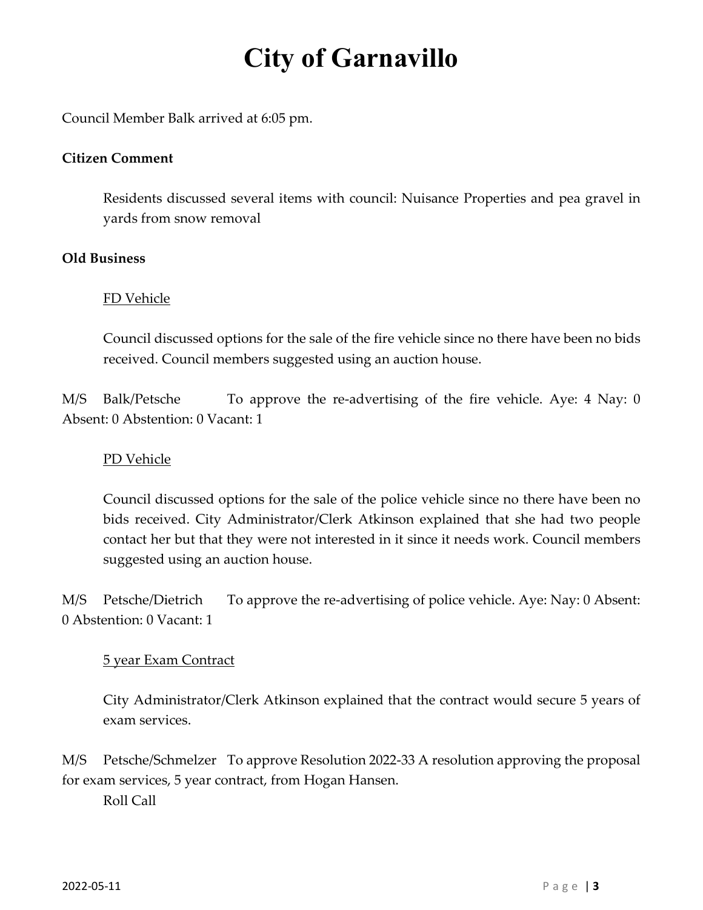Council Member Balk arrived at 6:05 pm.

### **Citizen Comment**

Residents discussed several items with council: Nuisance Properties and pea gravel in yards from snow removal

### **Old Business**

## FD Vehicle

Council discussed options for the sale of the fire vehicle since no there have been no bids received. Council members suggested using an auction house.

M/S Balk/Petsche To approve the re-advertising of the fire vehicle. Aye: 4 Nay: 0 Absent: 0 Abstention: 0 Vacant: 1

## PD Vehicle

Council discussed options for the sale of the police vehicle since no there have been no bids received. City Administrator/Clerk Atkinson explained that she had two people contact her but that they were not interested in it since it needs work. Council members suggested using an auction house.

M/S Petsche/Dietrich To approve the re-advertising of police vehicle. Aye: Nay: 0 Absent: 0 Abstention: 0 Vacant: 1

### 5 year Exam Contract

City Administrator/Clerk Atkinson explained that the contract would secure 5 years of exam services.

M/S Petsche/Schmelzer To approve Resolution 2022-33 A resolution approving the proposal for exam services, 5 year contract, from Hogan Hansen.

Roll Call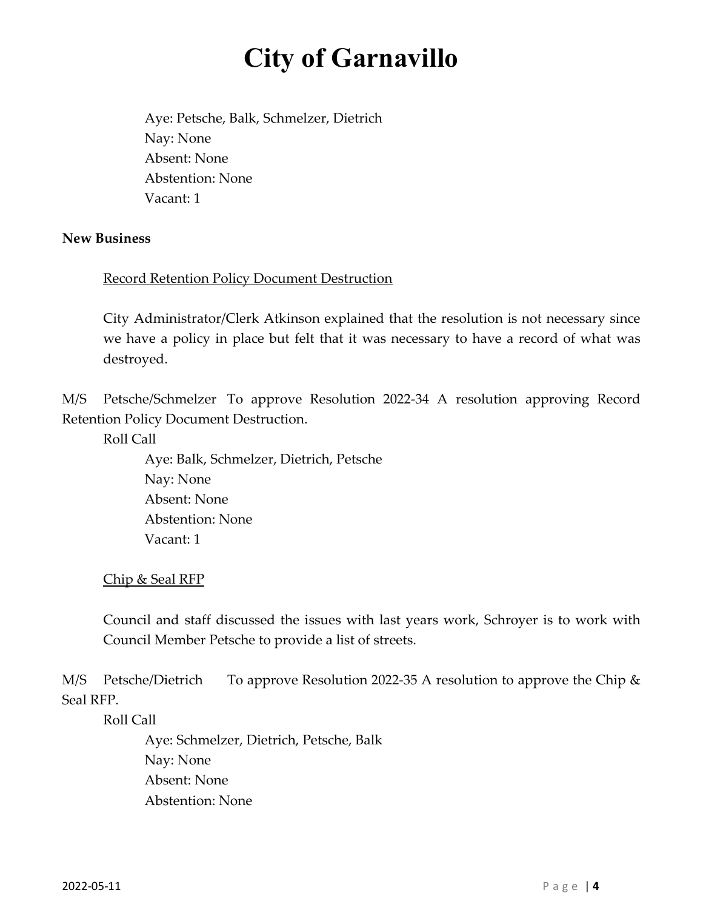Aye: Petsche, Balk, Schmelzer, Dietrich Nay: None Absent: None Abstention: None Vacant: 1

#### **New Business**

### Record Retention Policy Document Destruction

City Administrator/Clerk Atkinson explained that the resolution is not necessary since we have a policy in place but felt that it was necessary to have a record of what was destroyed.

M/S Petsche/Schmelzer To approve Resolution 2022-34 A resolution approving Record Retention Policy Document Destruction.

Roll Call

 Aye: Balk, Schmelzer, Dietrich, Petsche Nay: None Absent: None Abstention: None Vacant: 1

#### Chip & Seal RFP

Council and staff discussed the issues with last years work, Schroyer is to work with Council Member Petsche to provide a list of streets.

M/S Petsche/Dietrich To approve Resolution 2022-35 A resolution to approve the Chip & Seal RFP.

Roll Call

 Aye: Schmelzer, Dietrich, Petsche, Balk Nay: None Absent: None Abstention: None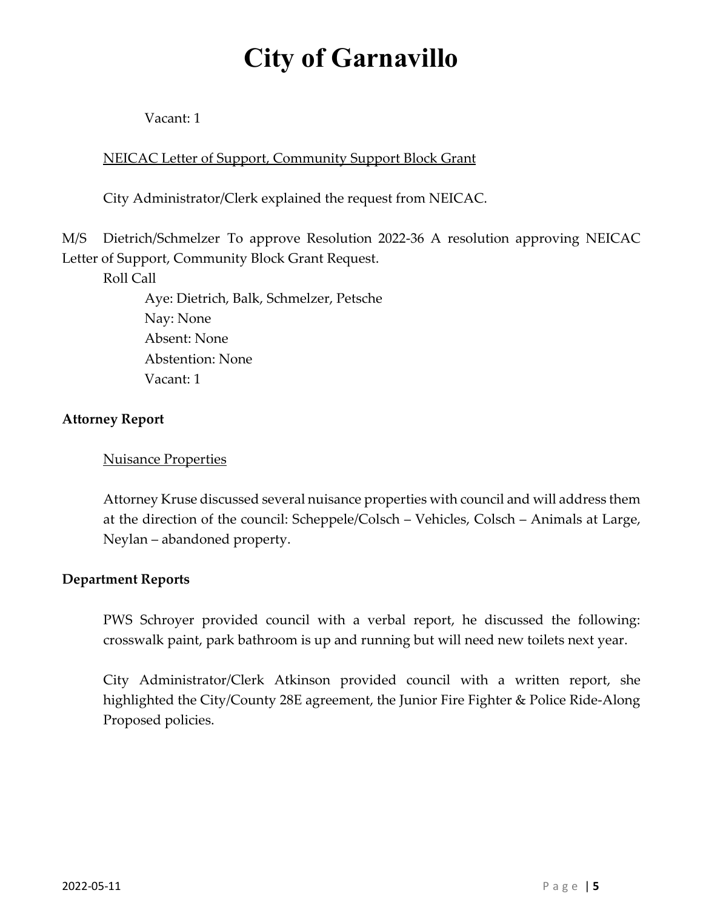Vacant: 1

## NEICAC Letter of Support, Community Support Block Grant

City Administrator/Clerk explained the request from NEICAC.

M/S Dietrich/Schmelzer To approve Resolution 2022-36 A resolution approving NEICAC Letter of Support, Community Block Grant Request.

Roll Call

 Aye: Dietrich, Balk, Schmelzer, Petsche Nay: None Absent: None Abstention: None Vacant: 1

## **Attorney Report**

### Nuisance Properties

Attorney Kruse discussed several nuisance properties with council and will address them at the direction of the council: Scheppele/Colsch – Vehicles, Colsch – Animals at Large, Neylan – abandoned property.

### **Department Reports**

PWS Schroyer provided council with a verbal report, he discussed the following: crosswalk paint, park bathroom is up and running but will need new toilets next year.

City Administrator/Clerk Atkinson provided council with a written report, she highlighted the City/County 28E agreement, the Junior Fire Fighter & Police Ride-Along Proposed policies.